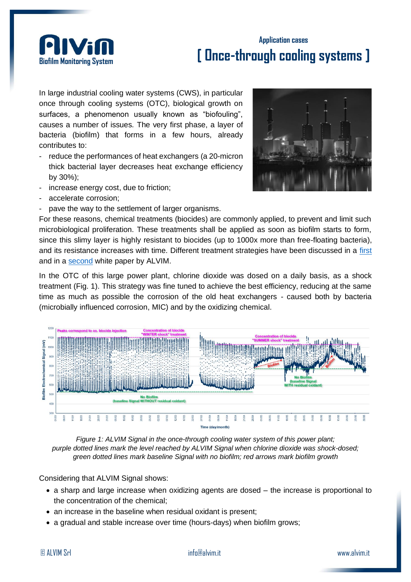

## **Application cases [ Once-through cooling systems ]**

In large industrial cooling water systems (CWS), in particular once through cooling systems (OTC), biological growth on surfaces, a phenomenon usually known as "biofouling", causes a number of issues. The very first phase, a layer of bacteria (biofilm) that forms in a few hours, already contributes to:

- reduce the performances of heat exchangers (a 20-micron thick bacterial layer decreases heat exchange efficiency by 30%);
- increase energy cost, due to friction;
- accelerate corrosion;
- pave the way to the settlement of larger organisms.



For these reasons, chemical treatments (biocides) are commonly applied, to prevent and limit such microbiological proliferation. These treatments shall be applied as soon as biofilm starts to form, since this slimy layer is highly resistant to biocides (up to 1000x more than free-floating bacteria). and its resistance increases with time. Different treatment strategies have been discussed in a [first](http://www.alvimcleantech.com/cms/en/about-biofilm/white-papers/biocides) and in a [second](http://www.alvimcleantech.com/cms/en/about-biofilm/white-papers/oxidizing-and-non-oxidizing-biocides) white paper by ALVIM.

In the OTC of this large power plant, chlorine dioxide was dosed on a daily basis, as a shock treatment (Fig. 1). This strategy was fine tuned to achieve the best efficiency, reducing at the same time as much as possible the corrosion of the old heat exchangers - caused both by bacteria (microbially influenced corrosion, MIC) and by the oxidizing chemical.



*Figure 1: ALVIM Signal in the once-through cooling water system of this power plant; purple dotted lines mark the level reached by ALVIM Signal when chlorine dioxide was shock-dosed; green dotted lines mark baseline Signal with no biofilm; red arrows mark biofilm growth*

Considering that ALVIM Signal shows:

- a sharp and large increase when oxidizing agents are dosed the increase is proportional to the concentration of the chemical;
- an increase in the baseline when residual oxidant is present:
- a gradual and stable increase over time (hours-days) when biofilm grows;